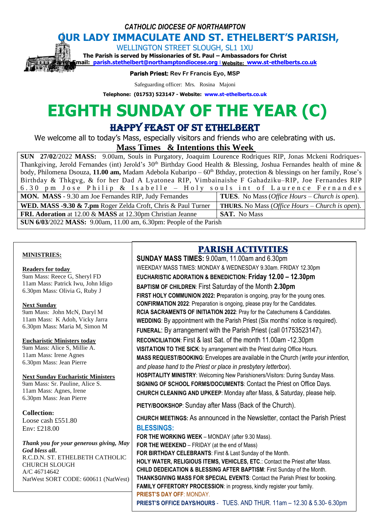*CATHOLIC DIOCESE OF NORTHAMPTON*

# **OUR LADY IMMACULATE AND ST. ETHELBERT'S PARISH,**

WELLINGTON STREET SLOUGH, SL1 1XU

**The Parish is served by Missionaries of St. Paul – Ambassadors for Christ Parish Email: [parish.stethelbert@northamptondiocese.org](mailto:parish.stethelbert@northamptondiocese.org)** l **Website: [www.st-ethelberts.co.uk](http://www.st-ethelberts.co.uk/)**

**Parish Priest: Rev Fr Francis Eyo, MSP** 

Safeguarding officer: Mrs. Rosina Majoni

**Telephone: (01753) 523147 - Website: [www.st-ethelberts.co.uk](http://www.st-ethelberts.co.uk/)**

# **EIGHTH SUNDAY OF THE YEAR (C)**

HAPPY FEAST OF ST ETHELBERT

We welcome all to today's Mass, especially visitors and friends who are celebrating with us.

**Mass Times & Intentions this Week** 

**SUN 27/02**/2022 **MASS:** 9.00am, Souls in Purgatory, Joaquim Lourence Rodriques RIP, Jonas Mckeni Rodriques-Thankgiving, Jerold Fernandes (int) Jerold's  $30<sup>th</sup>$  Birthday Good Health & Blessing, Joshua Fernandes health of mine & body, Philomena Dsouza, 11.00 am, Madam Adebola Kubaripo – 60<sup>th</sup> Bthday, protection & blessings on her family, Rose's Birthday & Thkgvg, & for her Dad A Lyatonea RIP, Vimbainaishe F Gahadziku–RIP, Joe Fernandes RIP 6.30 pm Jose Philip & Isabelle – Holy souls int of Laurence Fernandes **MON. MASS** - 9.30 am Joe Fernandes RIP, Judy Fernandes **TUES**. No Mass (*Office Hours – Church is open*). **WED. MASS -9.30 & 7.pm** Roger Zelda Croft, Chris & Paul Turner **THURS.** No Mass (*Office Hours – Church is open*). **FRI. Adoration** at 12.00 & **MASS** at 12.30pm Christian Jeanne **SAT.** No Mass **SUN 6/03**/2022 **MASS:** 9.00am, 11.00 am, 6.30pm: People of the Parish

#### **MINISTRIES:**

#### **Readers for today**

9am Mass: Reece G, Sheryl FD 11am Mass: Patrick Iwu, John Idigo 6.30pm Mass: Olivia G, Ruby J

#### **Next Sunday**

9am Mass: John McN, Daryl M 11am Mass: K Adoh, Vicky Jarra 6.30pm Mass: Maria M, Simon M

#### **Eucharistic Ministers today**

9am Mass: Alice S, Millie A. 11am Mass: Irene Agnes 6.30pm Mass: Jean Pierre

#### **Next Sunday Eucharistic Ministers**

9am Mass: Sr. Pauline, Alice S. 11am Mass: Agnes, Irene 6.30pm Mass: Jean Pierre

#### **Collection:**

Loose cash £551.80 Env: £218.00

*Thank you for your generous giving, May God bless all***.**  R.C.D.N. ST. ETHELBETH CATHOLIC CHURCH SLOUGH A/C 46714642 NatWest SORT CODE: 600611 (NatWest)

# PARISH ACTIVITIES

**SUNDAY MASS TIMES:** 9.00am, 11.00am and 6.30pm WEEKDAY MASS TIMES: MONDAY & WEDNESDAY 9.30am. FRIDAY 12.30pm **EUCHARISTIC ADORATION & BENEDICTION: Friday 12.00 – 12.30pm BAPTISM OF CHILDREN**: First Saturday of the Month **2.30pm** FIRST HOLY COMMUNION 2022: Preparation is ongoing, pray for the young ones. **CONFIRMATION 2022**: Preparation is ongoing, please pray for the Candidates. **RCIA SACRAMENTS OF INITIATION 2022**: Pray for the Catechumens & Candidates. **WEDDING**: By appointment with the Parish Priest (Six months' notice is required). **FUNERAL**: By arrangement with the Parish Priest (call 01753523147). **RECONCILIATION**: First & last Sat. of the month 11.00am -12.30pm **VISITATION TO THE SICK**: by arrangement with the Priest during Office Hours. **MASS REQUEST/BOOKING**: Envelopes are available in the Church (*write your intention, and please hand to the Priest or place in presbytery letterbox*). **HOSPITALITY MINISTRY**: Welcoming New Parishioners/Visitors: During Sunday Mass. **SIGNING OF SCHOOL FORMS/DOCUMENTS**: Contact the Priest on Office Days. **CHURCH CLEANING AND UPKEEP**: Monday after Mass, & Saturday, please help. **PIETY/BOOKSHOP**: Sunday after Mass (Back of the Church). **CHURCH MEETINGS:** As announced in the Newsletter, contact the Parish Priest **BLESSINGS: FOR THE WORKING WEEK** – MONDAY (after 9.30 Mass). **FOR THE WEEKEND** – FRIDAY (at the end of Mass) **FOR BIRTHDAY CELEBRANTS**: First & Last Sunday of the Month. **HOLY WATER, RELIGIOUS ITEMS, VEHICLES, ETC**.: Contact the Priest after Mass. **CHILD DEDEICATION & BLESSING AFTER BAPTISM**: First Sunday of the Month. **THANKSGIVING MASS FOR SPECIAL EVENTS**: Contact the Parish Priest for booking. **FAMILY OFFERTORY PROCESSION**: in progress, kindly register your family. **PRIEST'S DAY OFF**: MONDAY.

**PRIEST'S OFFICE DAYS/HOURS** - TUES. AND THUR. 11am – 12.30 & 5.30- 6.30pm

**The Priest is available to meet parishioners during office hours. All are welcome!**